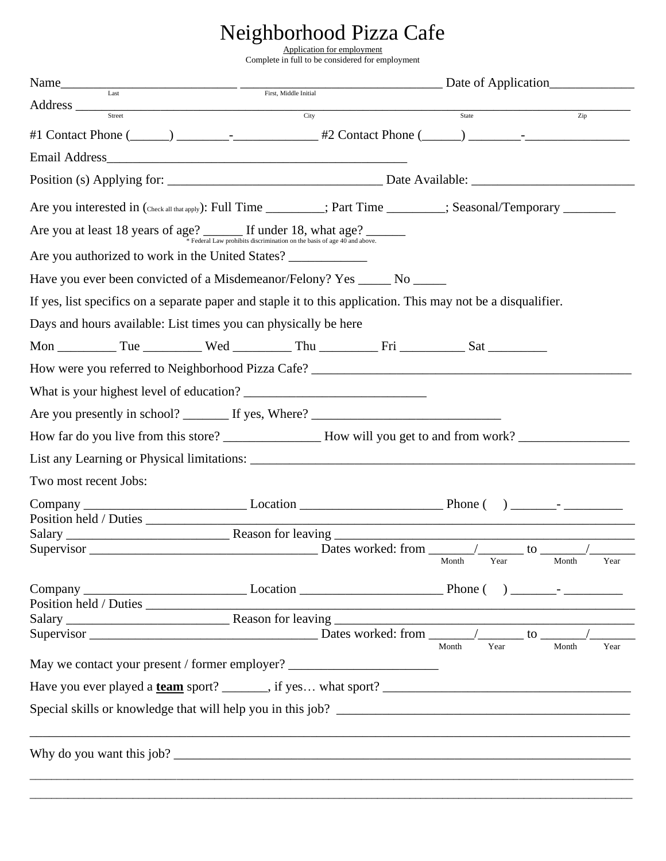## Neighborhood Pizza Cafe

Application for employment Complete in full to be considered for employment

| Name                  |                     |                                                                                  |  | $\frac{1}{\text{First, Middle Initial}}$ Date of Application |                                                                                                                |                                                             |
|-----------------------|---------------------|----------------------------------------------------------------------------------|--|--------------------------------------------------------------|----------------------------------------------------------------------------------------------------------------|-------------------------------------------------------------|
|                       |                     |                                                                                  |  |                                                              | State                                                                                                          | $\overline{Zip}$                                            |
|                       | Address <u>City</u> |                                                                                  |  |                                                              |                                                                                                                |                                                             |
|                       |                     |                                                                                  |  |                                                              |                                                                                                                |                                                             |
|                       |                     |                                                                                  |  |                                                              |                                                                                                                |                                                             |
|                       |                     |                                                                                  |  |                                                              |                                                                                                                |                                                             |
|                       |                     |                                                                                  |  |                                                              | Are you interested in (Check all that apply): Full Time _______; Part Time ______; Seasonal/Temporary ________ |                                                             |
|                       |                     | Are you at least 18 years of age? If under 18, what age?                         |  |                                                              |                                                                                                                |                                                             |
|                       |                     | Are you authorized to work in the United States?                                 |  |                                                              |                                                                                                                |                                                             |
|                       |                     | Have you ever been convicted of a Misdemeanor/Felony? Yes ______ No ______       |  |                                                              |                                                                                                                |                                                             |
|                       |                     |                                                                                  |  |                                                              | If yes, list specifics on a separate paper and staple it to this application. This may not be a disqualifier.  |                                                             |
|                       |                     | Days and hours available: List times you can physically be here                  |  |                                                              |                                                                                                                |                                                             |
|                       |                     |                                                                                  |  |                                                              |                                                                                                                |                                                             |
|                       |                     |                                                                                  |  |                                                              |                                                                                                                |                                                             |
|                       |                     |                                                                                  |  |                                                              |                                                                                                                |                                                             |
|                       |                     |                                                                                  |  |                                                              |                                                                                                                |                                                             |
|                       |                     |                                                                                  |  |                                                              |                                                                                                                |                                                             |
|                       |                     |                                                                                  |  |                                                              |                                                                                                                |                                                             |
| Two most recent Jobs: |                     |                                                                                  |  |                                                              |                                                                                                                |                                                             |
|                       |                     |                                                                                  |  |                                                              |                                                                                                                |                                                             |
|                       |                     |                                                                                  |  |                                                              |                                                                                                                |                                                             |
| Supervisor            |                     |                                                                                  |  |                                                              |                                                                                                                | to                                                          |
|                       |                     |                                                                                  |  |                                                              | Year<br>Month                                                                                                  | Month<br>Year                                               |
|                       |                     |                                                                                  |  |                                                              |                                                                                                                |                                                             |
|                       |                     |                                                                                  |  |                                                              |                                                                                                                |                                                             |
|                       |                     | Supervisor                                                                       |  |                                                              |                                                                                                                |                                                             |
|                       |                     | May we contact your present / former employer? _________________________________ |  |                                                              | Year<br>Month                                                                                                  | Year<br>Month                                               |
|                       |                     |                                                                                  |  |                                                              |                                                                                                                |                                                             |
|                       |                     |                                                                                  |  |                                                              |                                                                                                                | Special skills or knowledge that will help you in this job? |
|                       |                     |                                                                                  |  |                                                              |                                                                                                                |                                                             |
|                       |                     |                                                                                  |  |                                                              |                                                                                                                |                                                             |
|                       |                     |                                                                                  |  |                                                              |                                                                                                                |                                                             |

\_\_\_\_\_\_\_\_\_\_\_\_\_\_\_\_\_\_\_\_\_\_\_\_\_\_\_\_\_\_\_\_\_\_\_\_\_\_\_\_\_\_\_\_\_\_\_\_\_\_\_\_\_\_\_\_\_\_\_\_\_\_\_\_\_\_\_\_\_\_\_\_\_\_\_\_\_\_\_\_\_\_\_\_\_\_\_\_\_\_\_\_\_\_\_\_\_\_\_\_\_\_\_\_\_\_\_\_\_\_\_